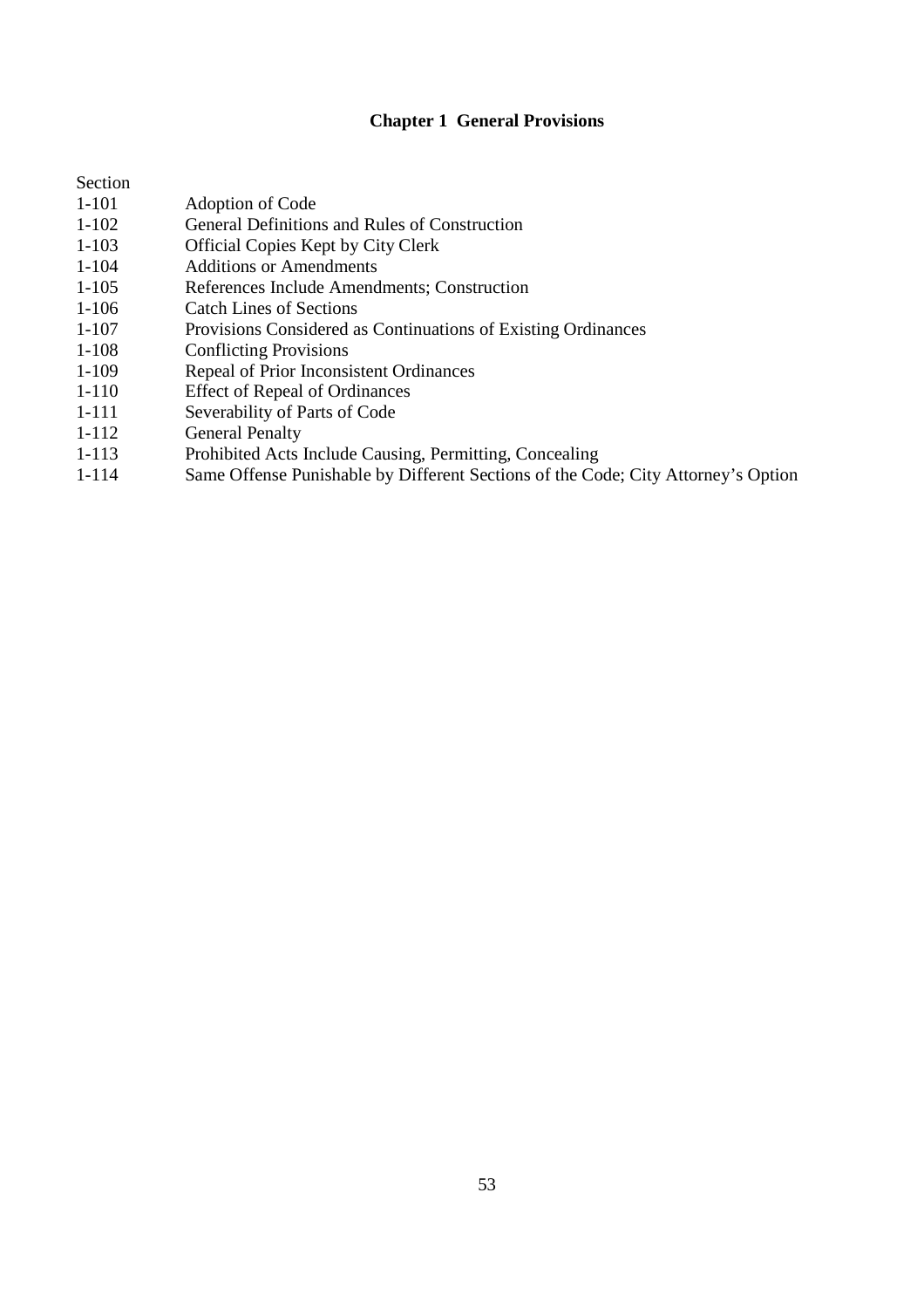# **Chapter 1 General Provisions**

| Section   |                                                               |
|-----------|---------------------------------------------------------------|
| $1 - 101$ | Adoption of Code                                              |
| $1 - 102$ | General Definitions and Rules of Construction                 |
| $1 - 103$ | <b>Official Copies Kept by City Clerk</b>                     |
| $1 - 104$ | Additions or Amendments                                       |
| $1 - 105$ | References Include Amendments; Construction                   |
| $1 - 106$ | Catch Lines of Sections                                       |
| $1 - 107$ | Provisions Considered as Continuations of Existing Ordinances |
| $1 - 108$ | <b>Conflicting Provisions</b>                                 |
| $1 - 109$ | Repeal of Prior Inconsistent Ordinances                       |
| $1 - 110$ | <b>Effect of Repeal of Ordinances</b>                         |
| 1-111     | Severability of Parts of Code                                 |
| 1-112     | <b>General Penalty</b>                                        |
| 1-113     | Prohibited Acts Include Causing, Permitting, Concealing       |

1-114 Same Offense Punishable by Different Sections of the Code; City Attorney's Option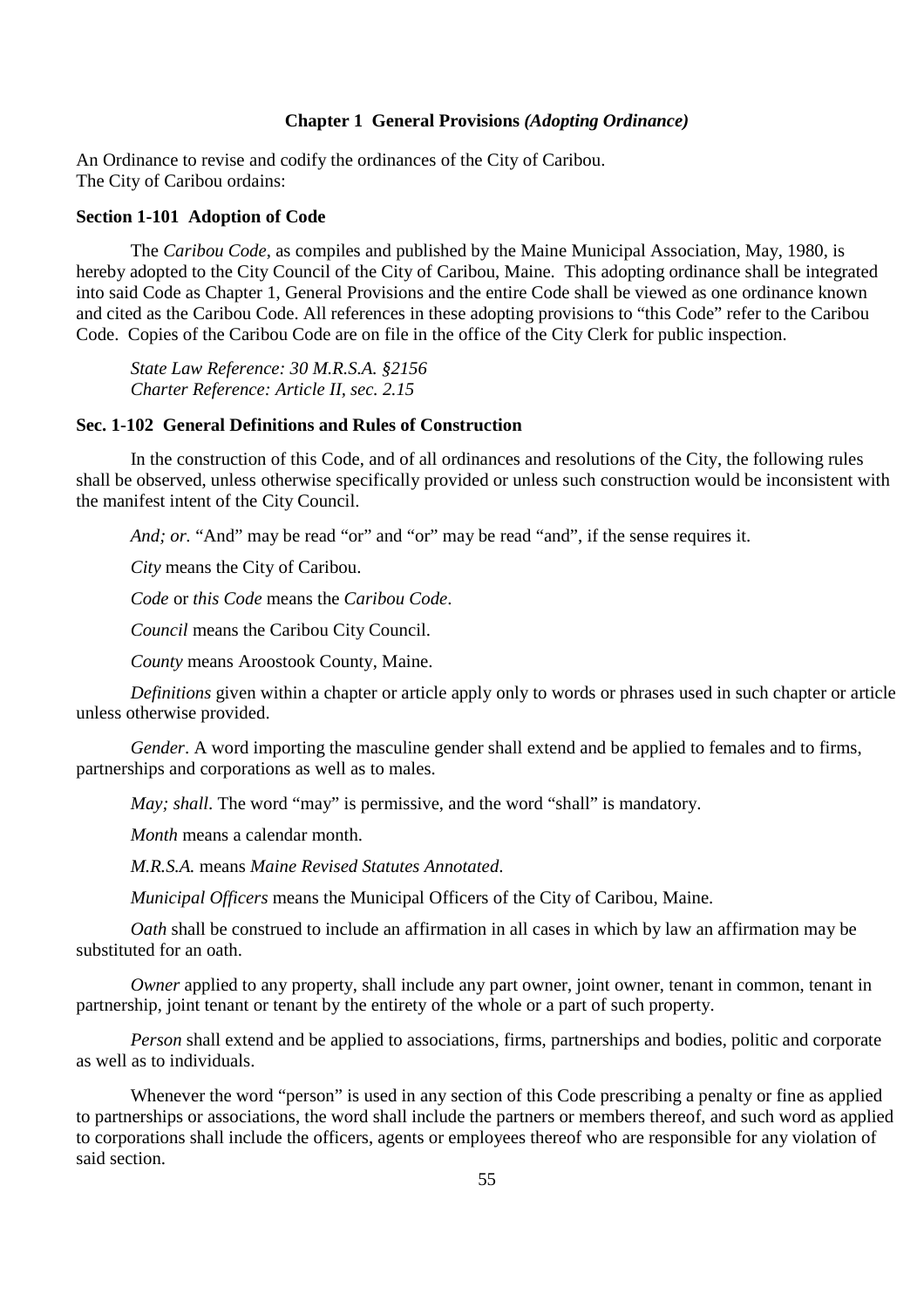# **Chapter 1 General Provisions** *(Adopting Ordinance)*

An Ordinance to revise and codify the ordinances of the City of Caribou. The City of Caribou ordains:

#### **Section 1-101 Adoption of Code**

The *Caribou Code*, as compiles and published by the Maine Municipal Association, May, 1980, is hereby adopted to the City Council of the City of Caribou, Maine. This adopting ordinance shall be integrated into said Code as Chapter 1, General Provisions and the entire Code shall be viewed as one ordinance known and cited as the Caribou Code. All references in these adopting provisions to "this Code" refer to the Caribou Code. Copies of the Caribou Code are on file in the office of the City Clerk for public inspection.

*State Law Reference: 30 M.R.S.A. §2156 Charter Reference: Article II, sec. 2.15* 

#### **Sec. 1-102 General Definitions and Rules of Construction**

In the construction of this Code, and of all ordinances and resolutions of the City, the following rules shall be observed, unless otherwise specifically provided or unless such construction would be inconsistent with the manifest intent of the City Council.

*And; or.* "And" may be read "or" and "or" may be read "and", if the sense requires it.

*City* means the City of Caribou.

*Code* or *this Code* means the *Caribou Code*.

*Council* means the Caribou City Council.

*County* means Aroostook County, Maine.

*Definitions* given within a chapter or article apply only to words or phrases used in such chapter or article unless otherwise provided.

*Gender*. A word importing the masculine gender shall extend and be applied to females and to firms, partnerships and corporations as well as to males.

*May; shall.* The word "may" is permissive, and the word "shall" is mandatory.

*Month* means a calendar month.

*M.R.S.A.* means *Maine Revised Statutes Annotated*.

*Municipal Officers* means the Municipal Officers of the City of Caribou, Maine.

*Oath* shall be construed to include an affirmation in all cases in which by law an affirmation may be substituted for an oath.

*Owner* applied to any property, shall include any part owner, joint owner, tenant in common, tenant in partnership, joint tenant or tenant by the entirety of the whole or a part of such property.

*Person* shall extend and be applied to associations, firms, partnerships and bodies, politic and corporate as well as to individuals.

Whenever the word "person" is used in any section of this Code prescribing a penalty or fine as applied to partnerships or associations, the word shall include the partners or members thereof, and such word as applied to corporations shall include the officers, agents or employees thereof who are responsible for any violation of said section.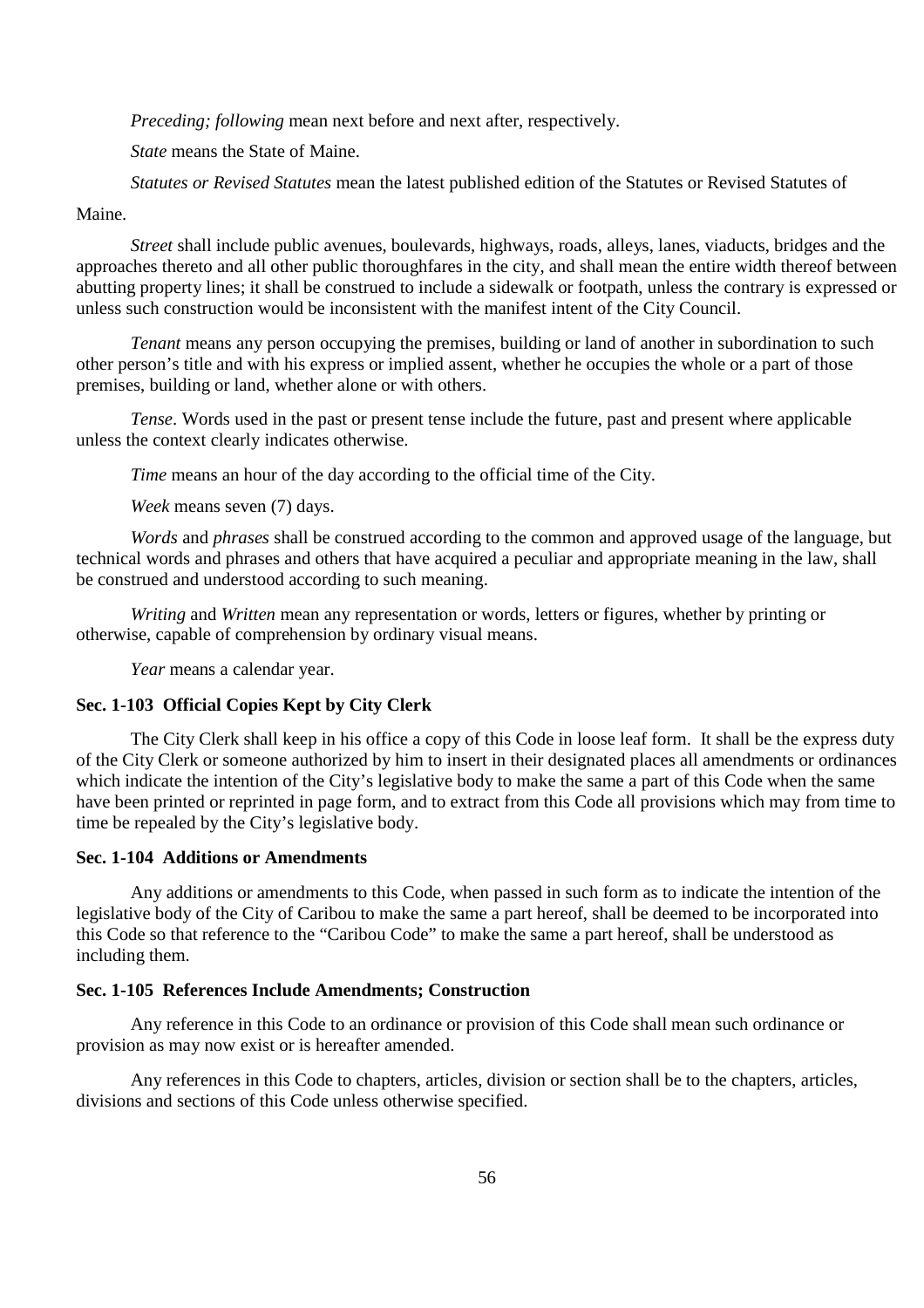*Preceding; following* mean next before and next after, respectively.

*State* means the State of Maine.

*Statutes or Revised Statutes* mean the latest published edition of the Statutes or Revised Statutes of

Maine.

*Street* shall include public avenues, boulevards, highways, roads, alleys, lanes, viaducts, bridges and the approaches thereto and all other public thoroughfares in the city, and shall mean the entire width thereof between abutting property lines; it shall be construed to include a sidewalk or footpath, unless the contrary is expressed or unless such construction would be inconsistent with the manifest intent of the City Council.

*Tenant* means any person occupying the premises, building or land of another in subordination to such other person's title and with his express or implied assent, whether he occupies the whole or a part of those premises, building or land, whether alone or with others.

*Tense*. Words used in the past or present tense include the future, past and present where applicable unless the context clearly indicates otherwise.

*Time* means an hour of the day according to the official time of the City.

*Week* means seven (7) days.

*Words* and *phrases* shall be construed according to the common and approved usage of the language, but technical words and phrases and others that have acquired a peculiar and appropriate meaning in the law, shall be construed and understood according to such meaning.

*Writing* and *Written* mean any representation or words, letters or figures, whether by printing or otherwise, capable of comprehension by ordinary visual means.

*Year* means a calendar year.

### **Sec. 1-103 Official Copies Kept by City Clerk**

The City Clerk shall keep in his office a copy of this Code in loose leaf form. It shall be the express duty of the City Clerk or someone authorized by him to insert in their designated places all amendments or ordinances which indicate the intention of the City's legislative body to make the same a part of this Code when the same have been printed or reprinted in page form, and to extract from this Code all provisions which may from time to time be repealed by the City's legislative body.

#### **Sec. 1-104 Additions or Amendments**

Any additions or amendments to this Code, when passed in such form as to indicate the intention of the legislative body of the City of Caribou to make the same a part hereof, shall be deemed to be incorporated into this Code so that reference to the "Caribou Code" to make the same a part hereof, shall be understood as including them.

#### **Sec. 1-105 References Include Amendments; Construction**

Any reference in this Code to an ordinance or provision of this Code shall mean such ordinance or provision as may now exist or is hereafter amended.

Any references in this Code to chapters, articles, division or section shall be to the chapters, articles, divisions and sections of this Code unless otherwise specified.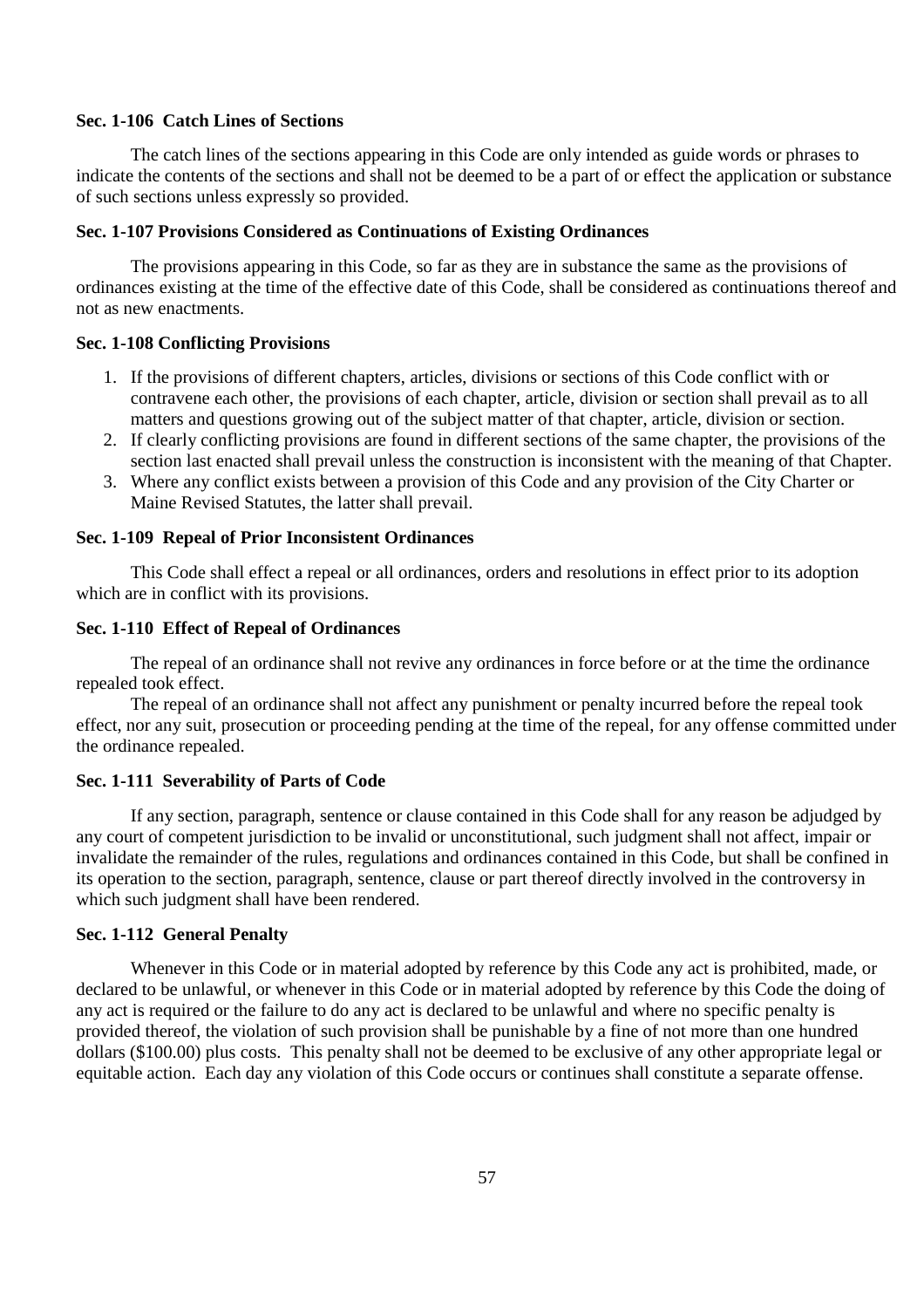#### **Sec. 1-106 Catch Lines of Sections**

The catch lines of the sections appearing in this Code are only intended as guide words or phrases to indicate the contents of the sections and shall not be deemed to be a part of or effect the application or substance of such sections unless expressly so provided.

#### **Sec. 1-107 Provisions Considered as Continuations of Existing Ordinances**

The provisions appearing in this Code, so far as they are in substance the same as the provisions of ordinances existing at the time of the effective date of this Code, shall be considered as continuations thereof and not as new enactments.

#### **Sec. 1-108 Conflicting Provisions**

- 1. If the provisions of different chapters, articles, divisions or sections of this Code conflict with or contravene each other, the provisions of each chapter, article, division or section shall prevail as to all matters and questions growing out of the subject matter of that chapter, article, division or section.
- 2. If clearly conflicting provisions are found in different sections of the same chapter, the provisions of the section last enacted shall prevail unless the construction is inconsistent with the meaning of that Chapter.
- 3. Where any conflict exists between a provision of this Code and any provision of the City Charter or Maine Revised Statutes, the latter shall prevail.

# **Sec. 1-109 Repeal of Prior Inconsistent Ordinances**

This Code shall effect a repeal or all ordinances, orders and resolutions in effect prior to its adoption which are in conflict with its provisions.

#### **Sec. 1-110 Effect of Repeal of Ordinances**

The repeal of an ordinance shall not revive any ordinances in force before or at the time the ordinance repealed took effect.

The repeal of an ordinance shall not affect any punishment or penalty incurred before the repeal took effect, nor any suit, prosecution or proceeding pending at the time of the repeal, for any offense committed under the ordinance repealed.

#### **Sec. 1-111 Severability of Parts of Code**

If any section, paragraph, sentence or clause contained in this Code shall for any reason be adjudged by any court of competent jurisdiction to be invalid or unconstitutional, such judgment shall not affect, impair or invalidate the remainder of the rules, regulations and ordinances contained in this Code, but shall be confined in its operation to the section, paragraph, sentence, clause or part thereof directly involved in the controversy in which such judgment shall have been rendered.

### **Sec. 1-112 General Penalty**

Whenever in this Code or in material adopted by reference by this Code any act is prohibited, made, or declared to be unlawful, or whenever in this Code or in material adopted by reference by this Code the doing of any act is required or the failure to do any act is declared to be unlawful and where no specific penalty is provided thereof, the violation of such provision shall be punishable by a fine of not more than one hundred dollars (\$100.00) plus costs. This penalty shall not be deemed to be exclusive of any other appropriate legal or equitable action. Each day any violation of this Code occurs or continues shall constitute a separate offense.